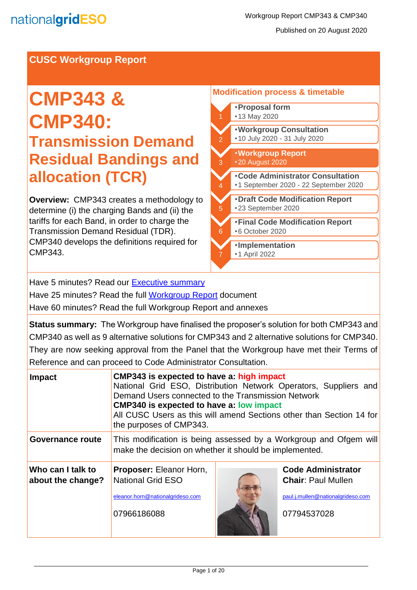### **CUSC Workgroup Report**

# **CMP343 & CMP340: Transmission Demand Residual Bandings and allocation (TCR)**

**Overview:** CMP343 creates a methodology to determine (i) the charging Bands and (ii) the tariffs for each Band, in order to charge the Transmission Demand Residual (TDR). CMP340 develops the definitions required for CMP343.

#### **Modification process & timetable**  •**Proposal form** •13 May 2020 2 •**Workgroup Consultation** •10 July 2020 - 31 July 2020

- •**Code Administrator Consultation** •1 September 2020 - 22 September 2020 3 •**Workgroup Report**  •20 August 2020 4
- 5 •**Draft Code Modification Report** •23 September 2020
- 6 •**Final Code Modification Report** •6 October 2020
- 7 •**Implementation** •1 April 2022

Have 5 minutes? Read our [Executive summary](#page-0-0)

Have 25 minutes? Read the full **Workgroup Report** document

Have 60 minutes? Read the full Workgroup Report and annexes

**Status summary:** The Workgroup have finalised the proposer's solution for both CMP343 and CMP340 as well as 9 alternative solutions for CMP343 and 2 alternative solutions for CMP340. They are now seeking approval from the Panel that the Workgroup have met their Terms of Reference and can proceed to Code Administrator Consultation.

<span id="page-0-0"></span>

| <b>Impact</b>                          | CMP343 is expected to have a: high impact<br>National Grid ESO, Distribution Network Operators, Suppliers and<br>Demand Users connected to the Transmission Network<br><b>CMP340 is expected to have a: low impact</b><br>All CUSC Users as this will amend Sections other than Section 14 for<br>the purposes of CMP343. |  |                                                                                                            |  |  |
|----------------------------------------|---------------------------------------------------------------------------------------------------------------------------------------------------------------------------------------------------------------------------------------------------------------------------------------------------------------------------|--|------------------------------------------------------------------------------------------------------------|--|--|
| Governance route                       | This modification is being assessed by a Workgroup and Ofgem will<br>make the decision on whether it should be implemented.                                                                                                                                                                                               |  |                                                                                                            |  |  |
| Who can I talk to<br>about the change? | Proposer: Eleanor Horn,<br><b>National Grid ESO</b><br>eleanor.horn@nationalgrideso.com<br>07966186088                                                                                                                                                                                                                    |  | <b>Code Administrator</b><br><b>Chair: Paul Mullen</b><br>paul.j.mullen@nationalgrideso.com<br>07794537028 |  |  |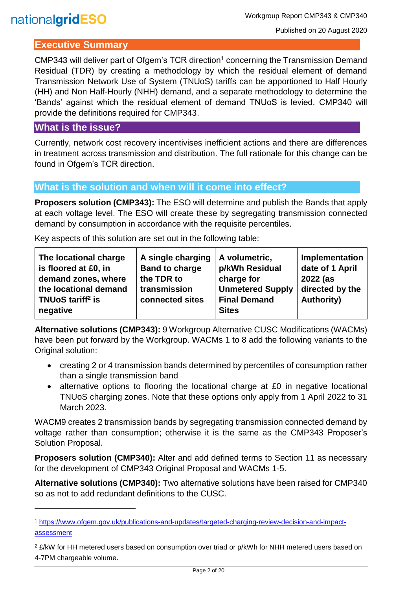#### **Executive Summary**

CMP343 will deliver part of Ofgem's TCR direction<sup>1</sup> concerning the Transmission Demand Residual (TDR) by creating a methodology by which the residual element of demand Transmission Network Use of System (TNUoS) tariffs can be apportioned to Half Hourly (HH) and Non Half-Hourly (NHH) demand, and a separate methodology to determine the 'Bands' against which the residual element of demand TNUoS is levied. CMP340 will provide the definitions required for CMP343.

#### **What is the issue?**

l

Currently, network cost recovery incentivises inefficient actions and there are differences in treatment across transmission and distribution. The full rationale for this change can be found in Ofgem's TCR direction.

#### **What is the solution and when will it come into effect?**

**Proposers solution (CMP343):** The ESO will determine and publish the Bands that apply at each voltage level. The ESO will create these by segregating transmission connected demand by consumption in accordance with the requisite percentiles.

Key aspects of this solution are set out in the following table:

| The locational charge                     | A single charging     | A volumetric,           | Implementation    |
|-------------------------------------------|-----------------------|-------------------------|-------------------|
| is floored at £0, in                      | <b>Band to charge</b> | p/kWh Residual          | date of 1 April   |
| demand zones, where                       | the TDR to            | charge for              | 2022 (as          |
| the locational demand                     | transmission          | <b>Unmetered Supply</b> | directed by the   |
| TNU <sub>o</sub> S tariff <sup>2</sup> is | connected sites       | <b>Final Demand</b>     | <b>Authority)</b> |
| negative                                  |                       | <b>Sites</b>            |                   |

**Alternative solutions (CMP343):** 9 Workgroup Alternative CUSC Modifications (WACMs) have been put forward by the Workgroup. WACMs 1 to 8 add the following variants to the Original solution:

- creating 2 or 4 transmission bands determined by percentiles of consumption rather than a single transmission band
- alternative options to flooring the locational charge at £0 in negative locational TNUoS charging zones. Note that these options only apply from 1 April 2022 to 31 March 2023.

WACM9 creates 2 transmission bands by segregating transmission connected demand by voltage rather than consumption; otherwise it is the same as the CMP343 Proposer's Solution Proposal.

**Proposers solution (CMP340):** Alter and add defined terms to Section 11 as necessary for the development of CMP343 Original Proposal and WACMs 1-5.

**Alternative solutions (CMP340):** Two alternative solutions have been raised for CMP340 so as not to add redundant definitions to the CUSC.

<sup>1</sup> [https://www.ofgem.gov.uk/publications-and-updates/targeted-charging-review-decision-and-impact](https://www.ofgem.gov.uk/publications-and-updates/targeted-charging-review-decision-and-impact-assessment)[assessment](https://www.ofgem.gov.uk/publications-and-updates/targeted-charging-review-decision-and-impact-assessment)

<sup>&</sup>lt;sup>2</sup> £/kW for HH metered users based on consumption over triad or p/kWh for NHH metered users based on 4-7PM chargeable volume.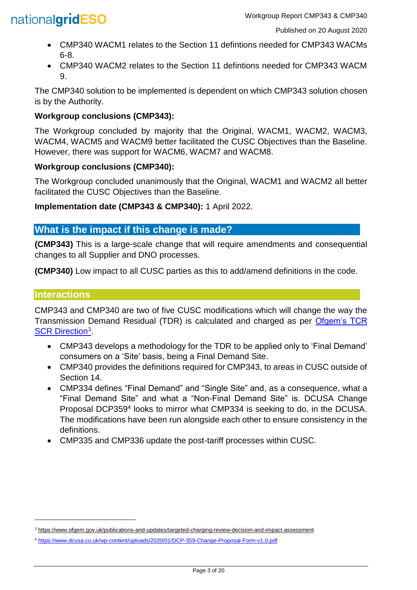- CMP340 WACM1 relates to the Section 11 defintions needed for CMP343 WACMs 6-8.
- CMP340 WACM2 relates to the Section 11 defintions needed for CMP343 WACM 9.

The CMP340 solution to be implemented is dependent on which CMP343 solution chosen is by the Authority.

## **Workgroup conclusions (CMP343):**

The Workgroup concluded by majority that the Original, WACM1, WACM2, WACM3, WACM4, WACM5 and WACM9 better facilitated the CUSC Objectives than the Baseline. However, there was support for WACM6, WACM7 and WACM8.

## **Workgroup conclusions (CMP340):**

The Workgroup concluded unanimously that the Original, WACM1 and WACM2 all better facilitated the CUSC Objectives than the Baseline.

**Implementation date (CMP343 & CMP340):** 1 April 2022.

# **What is the impact if this change is made?**

**(CMP343)** This is a large-scale change that will require amendments and consequential changes to all Supplier and DNO processes.

**(CMP340)** Low impact to all CUSC parties as this to add/amend definitions in the code.

## **Interactions**

l

CMP343 and CMP340 are two of five CUSC modifications which will change the way the Transmission Demand Residual (TDR) is calculated and charged as per [Ofgem's TCR](https://www.ofgem.gov.uk/publications-and-updates/targeted-charging-review-decision-and-impact-assessment)  [SCR Direction](https://www.ofgem.gov.uk/publications-and-updates/targeted-charging-review-decision-and-impact-assessment)<sup>3</sup>

- CMP343 develops a methodology for the TDR to be applied only to 'Final Demand' consumers on a 'Site' basis, being a Final Demand Site.
- CMP340 provides the definitions required for CMP343, to areas in CUSC outside of Section 14.
- CMP334 defines "Final Demand" and "Single Site" and, as a consequence, what a "Final Demand Site" and what a "Non-Final Demand Site" is. DCUSA Change Proposal DCP359<sup>4</sup> looks to mirror what CMP334 is seeking to do, in the DCUSA. The modifications have been run alongside each other to ensure consistency in the definitions.
- CMP335 and CMP336 update the post-tariff processes within CUSC.

<sup>3</sup> <https://www.ofgem.gov.uk/publications-and-updates/targeted-charging-review-decision-and-impact-assessment>

<sup>4</sup> <https://www.dcusa.co.uk/wp-content/uploads/2020/01/DCP-359-Change-Proposal-Form-v1.0.pdf>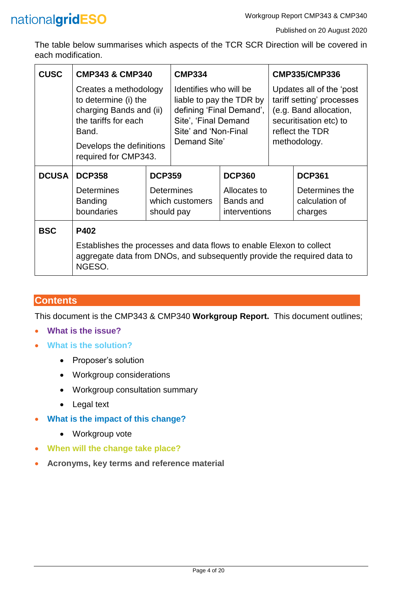

The table below summarises which aspects of the TCR SCR Direction will be covered in each modification.

| <b>CUSC</b>  | <b>CMP343 &amp; CMP340</b>                                                                                                                                    |               | <b>CMP334</b>                                                                                                                                  |                                            |                                                                                                                                              | <b>CMP335/CMP336</b>                        |  |
|--------------|---------------------------------------------------------------------------------------------------------------------------------------------------------------|---------------|------------------------------------------------------------------------------------------------------------------------------------------------|--------------------------------------------|----------------------------------------------------------------------------------------------------------------------------------------------|---------------------------------------------|--|
|              | Creates a methodology<br>to determine (i) the<br>charging Bands and (ii)<br>the tariffs for each<br>Band.<br>Develops the definitions<br>required for CMP343. |               | Identifies who will be<br>liable to pay the TDR by<br>defining 'Final Demand',<br>Site', 'Final Demand<br>Site' and 'Non-Final<br>Demand Site' |                                            | Updates all of the 'post<br>tariff setting' processes<br>(e.g. Band allocation,<br>securitisation etc) to<br>reflect the TDR<br>methodology. |                                             |  |
| <b>DCUSA</b> | <b>DCP358</b>                                                                                                                                                 | <b>DCP359</b> |                                                                                                                                                | <b>DCP360</b>                              |                                                                                                                                              | <b>DCP361</b>                               |  |
|              | <b>Determines</b><br><b>Banding</b><br>boundaries                                                                                                             | should pay    | <b>Determines</b><br>which customers                                                                                                           | Allocates to<br>Bands and<br>interventions |                                                                                                                                              | Determines the<br>calculation of<br>charges |  |
| <b>BSC</b>   | P402                                                                                                                                                          |               |                                                                                                                                                |                                            |                                                                                                                                              |                                             |  |
|              | Establishes the processes and data flows to enable Elexon to collect<br>aggregate data from DNOs, and subsequently provide the required data to<br>NGESO.     |               |                                                                                                                                                |                                            |                                                                                                                                              |                                             |  |

### **Contents**

This document is the CMP343 & CMP340 **Workgroup Report.** This document outlines;

- **What is the issue?**
- **What is the solution?**
	- Proposer's solution
	- Workgroup considerations
	- Workgroup consultation summary
	- Legal text
- **What is the impact of this change?**
	- Workgroup vote
- **When will the change take place?**
- **Acronyms, key terms and reference material**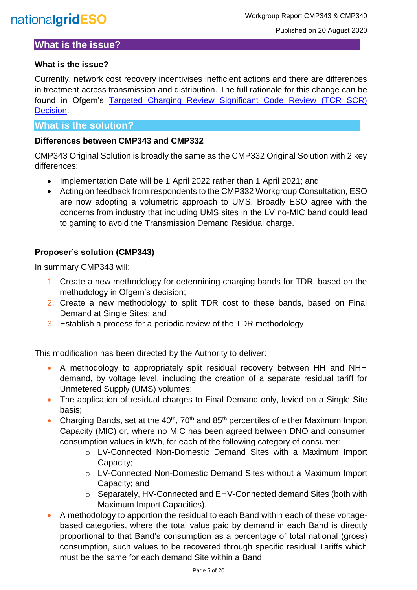### **What is the issue?**

#### <span id="page-4-0"></span>**What is the issue?**

Currently, network cost recovery incentivises inefficient actions and there are differences in treatment across transmission and distribution. The full rationale for this change can be found in Ofgem's [Targeted Charging Review Significant Code Review \(TCR SCR\)](https://www.ofgem.gov.uk/system/files/docs/2019/12/full_decision_doc_updated.pdf)  [Decision.](https://www.ofgem.gov.uk/system/files/docs/2019/12/full_decision_doc_updated.pdf)

#### **What is the solution?**

#### **Differences between CMP343 and CMP332**

CMP343 Original Solution is broadly the same as the CMP332 Original Solution with 2 key differences:

- Implementation Date will be 1 April 2022 rather than 1 April 2021; and
- Acting on feedback from respondents to the CMP332 Workgroup Consultation, ESO are now adopting a volumetric approach to UMS. Broadly ESO agree with the concerns from industry that including UMS sites in the LV no-MIC band could lead to gaming to avoid the Transmission Demand Residual charge.

#### **Proposer's solution (CMP343)**

In summary CMP343 will:

- 1. Create a new methodology for determining charging bands for TDR, based on the methodology in Ofgem's decision;
- 2. Create a new methodology to split TDR cost to these bands, based on Final Demand at Single Sites; and
- 3. Establish a process for a periodic review of the TDR methodology.

This modification has been directed by the Authority to deliver:

- A methodology to appropriately split residual recovery between HH and NHH demand, by voltage level, including the creation of a separate residual tariff for Unmetered Supply (UMS) volumes;
- The application of residual charges to Final Demand only, levied on a Single Site basis;
- Charging Bands, set at the  $40<sup>th</sup>$ , 70<sup>th</sup> and 85<sup>th</sup> percentiles of either Maximum Import Capacity (MIC) or, where no MIC has been agreed between DNO and consumer, consumption values in kWh, for each of the following category of consumer:
	- o LV-Connected Non-Domestic Demand Sites with a Maximum Import Capacity;
	- o LV-Connected Non-Domestic Demand Sites without a Maximum Import Capacity; and
	- o Separately, HV-Connected and EHV-Connected demand Sites (both with Maximum Import Capacities).
- A methodology to apportion the residual to each Band within each of these voltagebased categories, where the total value paid by demand in each Band is directly proportional to that Band's consumption as a percentage of total national (gross) consumption, such values to be recovered through specific residual Tariffs which must be the same for each demand Site within a Band;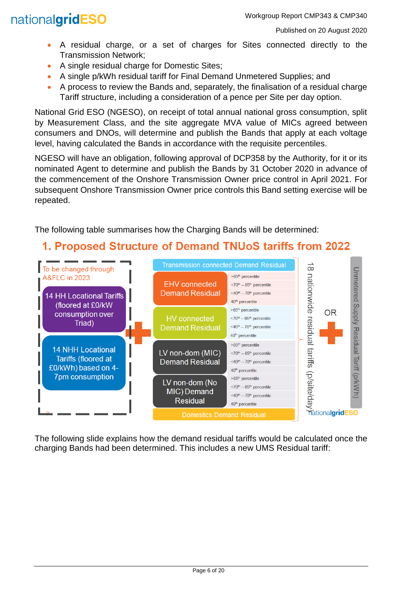- A residual charge, or a set of charges for Sites connected directly to the Transmission Network;
- A single residual charge for Domestic Sites;
- A single p/kWh residual tariff for Final Demand Unmetered Supplies; and
- A process to review the Bands and, separately, the finalisation of a residual charge Tariff structure, including a consideration of a pence per Site per day option.

National Grid ESO (NGESO), on receipt of total annual national gross consumption, split by Measurement Class, and the site aggregate MVA value of MICs agreed between consumers and DNOs, will determine and publish the Bands that apply at each voltage level, having calculated the Bands in accordance with the requisite percentiles.

NGESO will have an obligation, following approval of DCP358 by the Authority, for it or its nominated Agent to determine and publish the Bands by 31 October 2020 in advance of the commencement of the Onshore Transmission Owner price control in April 2021. For subsequent Onshore Transmission Owner price controls this Band setting exercise will be repeated.

The following table summarises how the Charging Bands will be determined:

# 1. Proposed Structure of Demand TNUoS tariffs from 2022



The following slide explains how the demand residual tariffs would be calculated once the charging Bands had been determined. This includes a new UMS Residual tariff: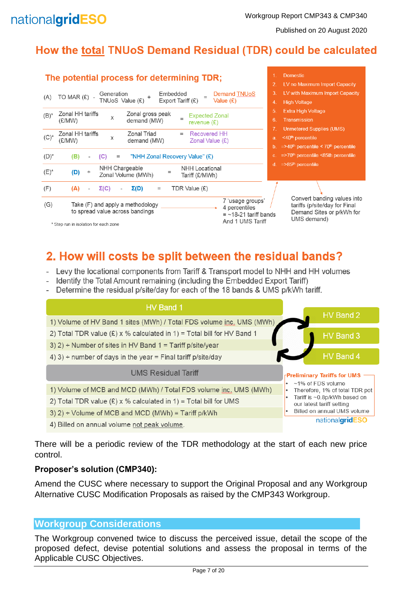Published on 20 August 2020

# How the total TNUoS Demand Residual (TDR) could be calculated

|         | The potential process for determining TDR;                                                                                                                                                       | <b>Domestic</b>                                                                                                                                    |
|---------|--------------------------------------------------------------------------------------------------------------------------------------------------------------------------------------------------|----------------------------------------------------------------------------------------------------------------------------------------------------|
| (A)     | Embedded<br>Demand TNUoS<br>Generation<br>TO MAR $(E)$ -<br>TNUoS Value (£)<br>Export Tariff (£)<br>Value $(E)$                                                                                  | 2.<br>LV no Maximum Import Capacity<br>3<br>LV with Maximum Import Capacity<br><b>High Voltage</b><br>4.                                           |
| $(B)^*$ | Zonal HH tariffs<br>Zonal gross peak<br><b>Expected Zonal</b><br>X<br>demand (MW)<br>(E/MW)<br>revenue $(E)$                                                                                     | 5.<br><b>Extra High Voltage</b><br>6.<br><b>Transmission</b>                                                                                       |
| $(C)^*$ | Zonal HH tariffs<br>Zonal Triad<br><b>Recovered HH</b><br>$=$<br>X<br>(£/MW)<br>demand (MW)<br>Zonal Value $(E)$                                                                                 | <b>Unmetered Supplies (UMS)</b><br>7<br><40 <sup>th</sup> percentile<br>a.<br>$=$ >40 <sup>th</sup> percentile < 70 <sup>th</sup> percentile<br>b. |
| $(D)^*$ | "NHH Zonal Recovery Value" (£)<br>(B)<br>(C)<br>$=$                                                                                                                                              | $\approx$ 70 <sup>th</sup> percentile <85th percentile<br>$C_{\rm{m}}$                                                                             |
| $(E)^*$ | NHH Chargeable<br>NHH Locational<br>(D)<br>$=$<br>Zonal Volume (MWh)<br>Tariff (£/MWh)                                                                                                           | $=$ >85 <sup>th</sup> percentile<br>d.                                                                                                             |
| (F)     | TDR Value (£)<br>$\Sigma(C)$<br>$\Sigma(D)$<br>(A)<br>$\equiv$                                                                                                                                   |                                                                                                                                                    |
| (G)     | 7 'usage groups'<br>Take (F) and apply a methodology<br>4 percentiles<br>to spread value across bandings<br>$=$ ~18-21 tariff bands<br>And 1 UMS Tariff<br>* Step run in isolation for each zone | Convert banding values into<br>tariffs (p/site/day for Final<br>Demand Sites or p/kWh for<br>UMS demand)                                           |

# 2. How will costs be split between the residual bands?

- Levy the locational components from Tariff & Transport model to NHH and HH volumes
- Identify the Total Amount remaining (including the Embedded Export Tariff)
- Determine the residual p/site/day for each of the 18 bands & UMS p/kWh tariff.



There will be a periodic review of the TDR methodology at the start of each new price control.

#### **Proposer's solution (CMP340):**

Amend the CUSC where necessary to support the Original Proposal and any Workgroup Alternative CUSC Modification Proposals as raised by the CMP343 Workgroup.

### **Workgroup Considerations**

The Workgroup convened twice to discuss the perceived issue, detail the scope of the proposed defect, devise potential solutions and assess the proposal in terms of the Applicable CUSC Objectives.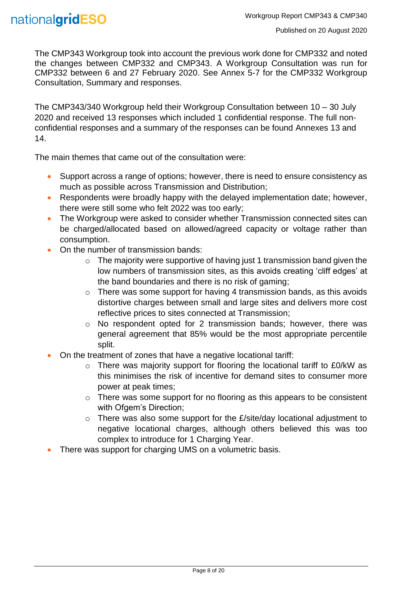The CMP343 Workgroup took into account the previous work done for CMP332 and noted the changes between CMP332 and CMP343. A Workgroup Consultation was run for CMP332 between 6 and 27 February 2020. See Annex 5-7 for the CMP332 Workgroup Consultation, Summary and responses.

The CMP343/340 Workgroup held their Workgroup Consultation between 10 – 30 July 2020 and received 13 responses which included 1 confidential response. The full nonconfidential responses and a summary of the responses can be found Annexes 13 and 14.

The main themes that came out of the consultation were:

- Support across a range of options; however, there is need to ensure consistency as much as possible across Transmission and Distribution;
- Respondents were broadly happy with the delayed implementation date: however, there were still some who felt 2022 was too early;
- The Workgroup were asked to consider whether Transmission connected sites can be charged/allocated based on allowed/agreed capacity or voltage rather than consumption.
- On the number of transmission bands:
	- $\circ$  The majority were supportive of having just 1 transmission band given the low numbers of transmission sites, as this avoids creating 'cliff edges' at the band boundaries and there is no risk of gaming;
	- $\circ$  There was some support for having 4 transmission bands, as this avoids distortive charges between small and large sites and delivers more cost reflective prices to sites connected at Transmission;
	- o No respondent opted for 2 transmission bands; however, there was general agreement that 85% would be the most appropriate percentile split.
- On the treatment of zones that have a negative locational tariff:
	- o There was majority support for flooring the locational tariff to £0/kW as this minimises the risk of incentive for demand sites to consumer more power at peak times;
	- o There was some support for no flooring as this appears to be consistent with Ofgem's Direction;
	- $\circ$  There was also some support for the  $E\$ site/day locational adjustment to negative locational charges, although others believed this was too complex to introduce for 1 Charging Year.
- There was support for charging UMS on a volumetric basis.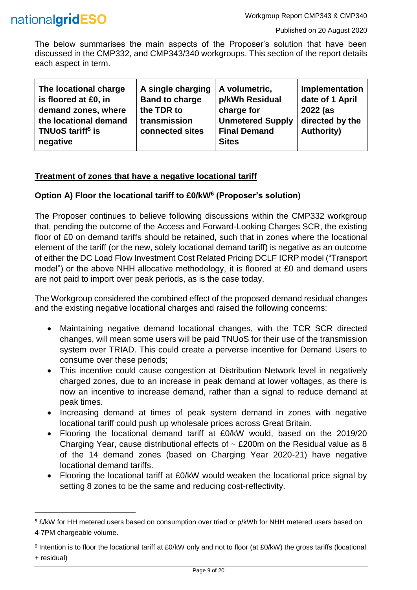

l

The below summarises the main aspects of the Proposer's solution that have been discussed in the CMP332, and CMP343/340 workgroups. This section of the report details each aspect in term.

| A single charging<br><b>Band to charge</b><br>the TDR to<br>transmission<br>connected sites | A volumetric,<br>p/kWh Residual<br>charge for<br><b>Unmetered Supply</b><br><b>Final Demand</b> | Implementation<br>date of 1 April<br>2022 (as<br>directed by the<br><b>Authority)</b> |
|---------------------------------------------------------------------------------------------|-------------------------------------------------------------------------------------------------|---------------------------------------------------------------------------------------|
|                                                                                             |                                                                                                 |                                                                                       |
|                                                                                             |                                                                                                 | <b>Sites</b>                                                                          |

#### **Treatment of zones that have a negative locational tariff**

#### **Option A) Floor the locational tariff to £0/kW<sup>6</sup> (Proposer's solution)**

The Proposer continues to believe following discussions within the CMP332 workgroup that, pending the outcome of the Access and Forward-Looking Charges SCR, the existing floor of £0 on demand tariffs should be retained, such that in zones where the locational element of the tariff (or the new, solely locational demand tariff) is negative as an outcome of either the DC Load Flow Investment Cost Related Pricing DCLF ICRP model ("Transport model") or the above NHH allocative methodology, it is floored at £0 and demand users are not paid to import over peak periods, as is the case today.

The Workgroup considered the combined effect of the proposed demand residual changes and the existing negative locational charges and raised the following concerns:

- Maintaining negative demand locational changes, with the TCR SCR directed changes, will mean some users will be paid TNUoS for their use of the transmission system over TRIAD. This could create a perverse incentive for Demand Users to consume over these periods;
- This incentive could cause congestion at Distribution Network level in negatively charged zones, due to an increase in peak demand at lower voltages, as there is now an incentive to increase demand, rather than a signal to reduce demand at peak times.
- Increasing demand at times of peak system demand in zones with negative locational tariff could push up wholesale prices across Great Britain.
- Flooring the locational demand tariff at £0/kW would, based on the 2019/20 Charging Year, cause distributional effects of  $\sim$  £200m on the Residual value as 8 of the 14 demand zones (based on Charging Year 2020-21) have negative locational demand tariffs.
- Flooring the locational tariff at £0/kW would weaken the locational price signal by setting 8 zones to be the same and reducing cost-reflectivity.

<sup>5</sup> £/kW for HH metered users based on consumption over triad or p/kWh for NHH metered users based on 4-7PM chargeable volume.

<sup>6</sup> Intention is to floor the locational tariff at £0/kW only and not to floor (at £0/kW) the gross tariffs (locational + residual)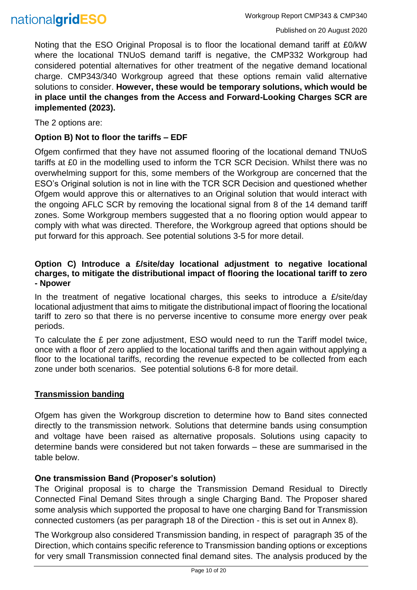

Noting that the ESO Original Proposal is to floor the locational demand tariff at £0/kW where the locational TNUoS demand tariff is negative, the CMP332 Workgroup had considered potential alternatives for other treatment of the negative demand locational charge. CMP343/340 Workgroup agreed that these options remain valid alternative solutions to consider. **However, these would be temporary solutions, which would be in place until the changes from the Access and Forward-Looking Charges SCR are implemented (2023).**

The 2 options are:

#### **Option B) Not to floor the tariffs – EDF**

Ofgem confirmed that they have not assumed flooring of the locational demand TNUoS tariffs at £0 in the modelling used to inform the TCR SCR Decision. Whilst there was no overwhelming support for this, some members of the Workgroup are concerned that the ESO's Original solution is not in line with the TCR SCR Decision and questioned whether Ofgem would approve this or alternatives to an Original solution that would interact with the ongoing AFLC SCR by removing the locational signal from 8 of the 14 demand tariff zones. Some Workgroup members suggested that a no flooring option would appear to comply with what was directed. Therefore, the Workgroup agreed that options should be put forward for this approach. See potential solutions 3-5 for more detail.

#### **Option C) Introduce a £/site/day locational adjustment to negative locational charges, to mitigate the distributional impact of flooring the locational tariff to zero - Npower**

In the treatment of negative locational charges, this seeks to introduce a  $E/\text{site}/\text{day}$ locational adjustment that aims to mitigate the distributional impact of flooring the locational tariff to zero so that there is no perverse incentive to consume more energy over peak periods.

To calculate the £ per zone adjustment, ESO would need to run the Tariff model twice, once with a floor of zero applied to the locational tariffs and then again without applying a floor to the locational tariffs, recording the revenue expected to be collected from each zone under both scenarios. See potential solutions 6-8 for more detail.

#### **Transmission banding**

Ofgem has given the Workgroup discretion to determine how to Band sites connected directly to the transmission network. Solutions that determine bands using consumption and voltage have been raised as alternative proposals. Solutions using capacity to determine bands were considered but not taken forwards – these are summarised in the table below.

#### **One transmission Band (Proposer's solution)**

The Original proposal is to charge the Transmission Demand Residual to Directly Connected Final Demand Sites through a single Charging Band. The Proposer shared some analysis which supported the proposal to have one charging Band for Transmission connected customers (as per paragraph 18 of the Direction - this is set out in Annex 8).

The Workgroup also considered Transmission banding, in respect of paragraph 35 of the Direction, which contains specific reference to Transmission banding options or exceptions for very small Transmission connected final demand sites. The analysis produced by the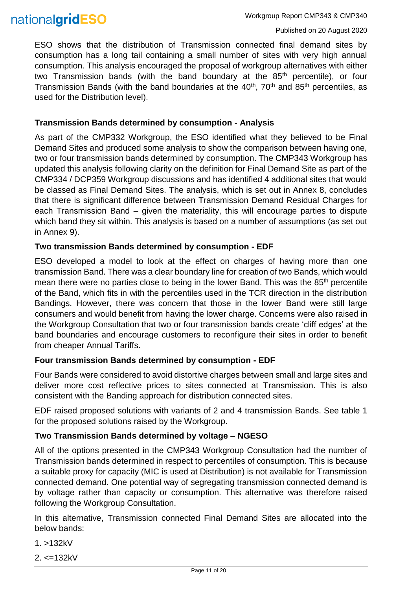ESO shows that the distribution of Transmission connected final demand sites by consumption has a long tail containing a small number of sites with very high annual consumption. This analysis encouraged the proposal of workgroup alternatives with either two Transmission bands (with the band boundary at the  $85<sup>th</sup>$  percentile), or four Transmission Bands (with the band boundaries at the  $40<sup>th</sup>$ , 70<sup>th</sup> and 85<sup>th</sup> percentiles, as used for the Distribution level).

#### **Transmission Bands determined by consumption - Analysis**

As part of the CMP332 Workgroup, the ESO identified what they believed to be Final Demand Sites and produced some analysis to show the comparison between having one, two or four transmission bands determined by consumption. The CMP343 Workgroup has updated this analysis following clarity on the definition for Final Demand Site as part of the CMP334 / DCP359 Workgroup discussions and has identified 4 additional sites that would be classed as Final Demand Sites. The analysis, which is set out in Annex 8, concludes that there is significant difference between Transmission Demand Residual Charges for each Transmission Band – given the materiality, this will encourage parties to dispute which band they sit within. This analysis is based on a number of assumptions (as set out in Annex 9).

#### **Two transmission Bands determined by consumption - EDF**

ESO developed a model to look at the effect on charges of having more than one transmission Band. There was a clear boundary line for creation of two Bands, which would mean there were no parties close to being in the lower Band. This was the 85<sup>th</sup> percentile of the Band, which fits in with the percentiles used in the TCR direction in the distribution Bandings. However, there was concern that those in the lower Band were still large consumers and would benefit from having the lower charge. Concerns were also raised in the Workgroup Consultation that two or four transmission bands create 'cliff edges' at the band boundaries and encourage customers to reconfigure their sites in order to benefit from cheaper Annual Tariffs.

#### **Four transmission Bands determined by consumption - EDF**

Four Bands were considered to avoid distortive charges between small and large sites and deliver more cost reflective prices to sites connected at Transmission. This is also consistent with the Banding approach for distribution connected sites.

EDF raised proposed solutions with variants of 2 and 4 transmission Bands. See table 1 for the proposed solutions raised by the Workgroup.

#### **Two Transmission Bands determined by voltage – NGESO**

All of the options presented in the CMP343 Workgroup Consultation had the number of Transmission bands determined in respect to percentiles of consumption. This is because a suitable proxy for capacity (MIC is used at Distribution) is not available for Transmission connected demand. One potential way of segregating transmission connected demand is by voltage rather than capacity or consumption. This alternative was therefore raised following the Workgroup Consultation.

In this alternative, Transmission connected Final Demand Sites are allocated into the below bands:

1. >132kV

 $2 \le -132kV$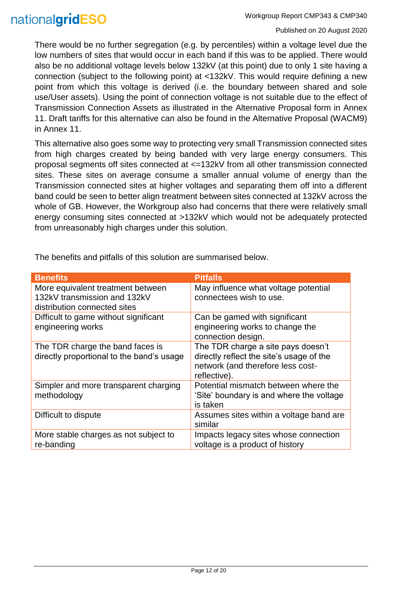There would be no further segregation (e.g. by percentiles) within a voltage level due the low numbers of sites that would occur in each band if this was to be applied. There would also be no additional voltage levels below 132kV (at this point) due to only 1 site having a connection (subject to the following point) at <132kV. This would require defining a new point from which this voltage is derived (i.e. the boundary between shared and sole use/User assets). Using the point of connection voltage is not suitable due to the effect of Transmission Connection Assets as illustrated in the Alternative Proposal form in Annex 11. Draft tariffs for this alternative can also be found in the Alternative Proposal (WACM9) in Annex 11.

This alternative also goes some way to protecting very small Transmission connected sites from high charges created by being banded with very large energy consumers. This proposal segments off sites connected at <=132kV from all other transmission connected sites. These sites on average consume a smaller annual volume of energy than the Transmission connected sites at higher voltages and separating them off into a different band could be seen to better align treatment between sites connected at 132kV across the whole of GB. However, the Workgroup also had concerns that there were relatively small energy consuming sites connected at >132kV which would not be adequately protected from unreasonably high charges under this solution.

| <b>Benefits</b>                           | <b>Pitfalls</b>                          |
|-------------------------------------------|------------------------------------------|
|                                           |                                          |
| More equivalent treatment between         | May influence what voltage potential     |
| 132kV transmission and 132kV              | connectees wish to use.                  |
| distribution connected sites              |                                          |
|                                           |                                          |
| Difficult to game without significant     | Can be gamed with significant            |
| engineering works                         | engineering works to change the          |
|                                           | connection design.                       |
|                                           |                                          |
| The TDR charge the band faces is          | The TDR charge a site pays doesn't       |
| directly proportional to the band's usage | directly reflect the site's usage of the |
|                                           | network (and therefore less cost-        |
|                                           | reflective).                             |
|                                           |                                          |
| Simpler and more transparent charging     | Potential mismatch between where the     |
| methodology                               | 'Site' boundary is and where the voltage |
|                                           | is taken                                 |
|                                           |                                          |
| Difficult to dispute                      | Assumes sites within a voltage band are  |
|                                           | similar                                  |
| More stable charges as not subject to     | Impacts legacy sites whose connection    |
| re-banding                                | voltage is a product of history          |
|                                           |                                          |

The benefits and pitfalls of this solution are summarised below.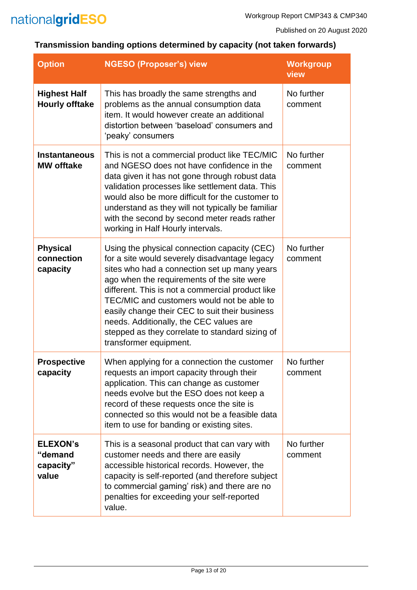

# **Transmission banding options determined by capacity (not taken forwards)**

| <b>Option</b>                                    | <b>NGESO (Proposer's) view</b>                                                                                                                                                                                                                                                                                                                                                                                                                                          | <b>Workgroup</b><br>view |
|--------------------------------------------------|-------------------------------------------------------------------------------------------------------------------------------------------------------------------------------------------------------------------------------------------------------------------------------------------------------------------------------------------------------------------------------------------------------------------------------------------------------------------------|--------------------------|
| <b>Highest Half</b><br><b>Hourly offtake</b>     | This has broadly the same strengths and<br>problems as the annual consumption data<br>item. It would however create an additional<br>distortion between 'baseload' consumers and<br>'peaky' consumers                                                                                                                                                                                                                                                                   | No further<br>comment    |
| <b>Instantaneous</b><br><b>MW offtake</b>        | This is not a commercial product like TEC/MIC<br>and NGESO does not have confidence in the<br>data given it has not gone through robust data<br>validation processes like settlement data. This<br>would also be more difficult for the customer to<br>understand as they will not typically be familiar<br>with the second by second meter reads rather<br>working in Half Hourly intervals.                                                                           | No further<br>comment    |
| <b>Physical</b><br>connection<br>capacity        | Using the physical connection capacity (CEC)<br>for a site would severely disadvantage legacy<br>sites who had a connection set up many years<br>ago when the requirements of the site were<br>different. This is not a commercial product like<br>TEC/MIC and customers would not be able to<br>easily change their CEC to suit their business<br>needs. Additionally, the CEC values are<br>stepped as they correlate to standard sizing of<br>transformer equipment. | No further<br>comment    |
| <b>Prospective</b><br>capacity                   | When applying for a connection the customer<br>requests an import capacity through their<br>application. This can change as customer<br>needs evolve but the ESO does not keep a<br>record of these requests once the site is<br>connected so this would not be a feasible data<br>item to use for banding or existing sites.                                                                                                                                           | No further<br>comment    |
| <b>ELEXON's</b><br>"demand<br>capacity"<br>value | This is a seasonal product that can vary with<br>customer needs and there are easily<br>accessible historical records. However, the<br>capacity is self-reported (and therefore subject<br>to commercial gaming' risk) and there are no<br>penalties for exceeding your self-reported<br>value.                                                                                                                                                                         | No further<br>comment    |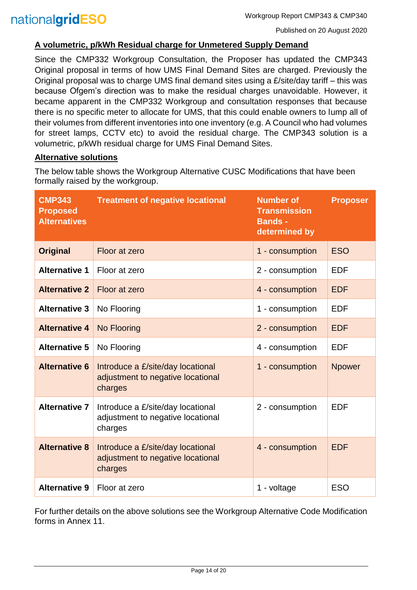#### **A volumetric, p/kWh Residual charge for Unmetered Supply Demand**

Since the CMP332 Workgroup Consultation, the Proposer has updated the CMP343 Original proposal in terms of how UMS Final Demand Sites are charged. Previously the Original proposal was to charge UMS final demand sites using a £/site/day tariff – this was because Ofgem's direction was to make the residual charges unavoidable. However, it became apparent in the CMP332 Workgroup and consultation responses that because there is no specific meter to allocate for UMS, that this could enable owners to lump all of their volumes from different inventories into one inventory (e.g. A Council who had volumes for street lamps, CCTV etc) to avoid the residual charge. The CMP343 solution is a volumetric, p/kWh residual charge for UMS Final Demand Sites.

#### **Alternative solutions**

The below table shows the Workgroup Alternative CUSC Modifications that have been formally raised by the workgroup.

| <b>CMP343</b><br><b>Proposed</b><br><b>Alternatives</b>                                                   | <b>Treatment of negative locational</b>                                                              | <b>Number of</b><br><b>Proposer</b><br><b>Transmission</b><br><b>Bands -</b><br>determined by |               |
|-----------------------------------------------------------------------------------------------------------|------------------------------------------------------------------------------------------------------|-----------------------------------------------------------------------------------------------|---------------|
| <b>Original</b>                                                                                           | Floor at zero                                                                                        | 1 - consumption                                                                               | <b>ESO</b>    |
| <b>Alternative 1</b>                                                                                      | Floor at zero                                                                                        | 2 - consumption                                                                               | <b>EDF</b>    |
| <b>Alternative 2</b>                                                                                      | Floor at zero                                                                                        | 4 - consumption                                                                               | <b>EDF</b>    |
| <b>Alternative 3</b>                                                                                      | No Flooring                                                                                          | 1 - consumption                                                                               | <b>EDF</b>    |
| <b>Alternative 4</b><br><b>No Flooring</b>                                                                |                                                                                                      | 2 - consumption                                                                               | <b>EDF</b>    |
| <b>Alternative 5</b>                                                                                      | No Flooring                                                                                          | 4 - consumption                                                                               | <b>EDF</b>    |
| <b>Alternative 6</b><br>Introduce a £/site/day locational<br>adjustment to negative locational<br>charges |                                                                                                      | 1 - consumption                                                                               | <b>Npower</b> |
| <b>Alternative 7</b>                                                                                      | Introduce a £/site/day locational<br>2 - consumption<br>adjustment to negative locational<br>charges |                                                                                               | <b>EDF</b>    |
| <b>Alternative 8</b>                                                                                      | Introduce a £/site/day locational<br>adjustment to negative locational<br>charges                    | 4 - consumption                                                                               | <b>EDF</b>    |
| <b>Alternative 9</b>                                                                                      | Floor at zero                                                                                        | 1 - voltage                                                                                   | <b>ESO</b>    |

For further details on the above solutions see the Workgroup Alternative Code Modification forms in Annex 11.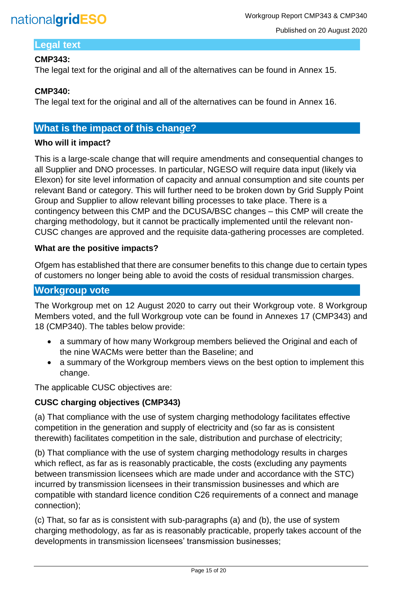

#### **Legal text**

#### **CMP343:**

The legal text for the original and all of the alternatives can be found in Annex 15.

#### **CMP340:**

The legal text for the original and all of the alternatives can be found in Annex 16.

### **What is the impact of this change?**

#### **Who will it impact?**

This is a large-scale change that will require amendments and consequential changes to all Supplier and DNO processes. In particular, NGESO will require data input (likely via Elexon) for site level information of capacity and annual consumption and site counts per relevant Band or category. This will further need to be broken down by Grid Supply Point Group and Supplier to allow relevant billing processes to take place. There is a contingency between this CMP and the DCUSA/BSC changes – this CMP will create the charging methodology, but it cannot be practically implemented until the relevant non-CUSC changes are approved and the requisite data-gathering processes are completed.

#### **What are the positive impacts?**

Ofgem has established that there are consumer benefits to this change due to certain types of customers no longer being able to avoid the costs of residual transmission charges.

### **Workgroup vote**

The Workgroup met on 12 August 2020 to carry out their Workgroup vote. 8 Workgroup Members voted, and the full Workgroup vote can be found in Annexes 17 (CMP343) and 18 (CMP340). The tables below provide:

- a summary of how many Workgroup members believed the Original and each of the nine WACMs were better than the Baseline; and
- a summary of the Workgroup members views on the best option to implement this change.

The applicable CUSC objectives are:

#### **CUSC charging objectives (CMP343)**

(a) That compliance with the use of system charging methodology facilitates effective competition in the generation and supply of electricity and (so far as is consistent therewith) facilitates competition in the sale, distribution and purchase of electricity;

(b) That compliance with the use of system charging methodology results in charges which reflect, as far as is reasonably practicable, the costs (excluding any payments between transmission licensees which are made under and accordance with the STC) incurred by transmission licensees in their transmission businesses and which are compatible with standard licence condition C26 requirements of a connect and manage connection);

(c) That, so far as is consistent with sub-paragraphs (a) and (b), the use of system charging methodology, as far as is reasonably practicable, properly takes account of the developments in transmission licensees' transmission businesses;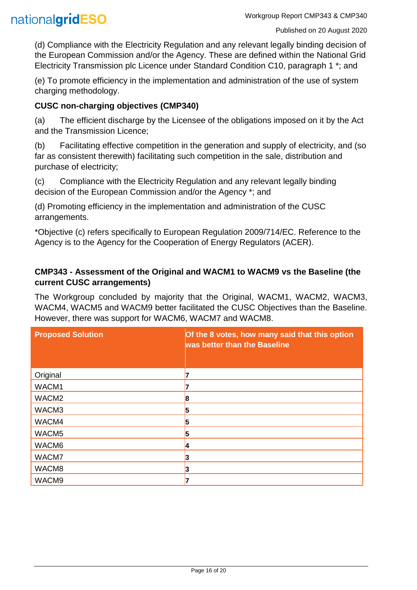(d) Compliance with the Electricity Regulation and any relevant legally binding decision of the European Commission and/or the Agency. These are defined within the National Grid Electricity Transmission plc Licence under Standard Condition C10, paragraph 1 \*; and

(e) To promote efficiency in the implementation and administration of the use of system charging methodology.

#### **CUSC non-charging objectives (CMP340)**

(a) The efficient discharge by the Licensee of the obligations imposed on it by the Act and the Transmission Licence;

(b) Facilitating effective competition in the generation and supply of electricity, and (so far as consistent therewith) facilitating such competition in the sale, distribution and purchase of electricity;

(c) Compliance with the Electricity Regulation and any relevant legally binding decision of the European Commission and/or the Agency \*; and

(d) Promoting efficiency in the implementation and administration of the CUSC arrangements.

\*Objective (c) refers specifically to European Regulation 2009/714/EC. Reference to the Agency is to the Agency for the Cooperation of Energy Regulators (ACER).

#### **CMP343 - Assessment of the Original and WACM1 to WACM9 vs the Baseline (the current CUSC arrangements)**

The Workgroup concluded by majority that the Original, WACM1, WACM2, WACM3, WACM4, WACM5 and WACM9 better facilitated the CUSC Objectives than the Baseline. However, there was support for WACM6, WACM7 and WACM8.

| <b>Proposed Solution</b> | Of the 8 votes, how many said that this option<br>was better than the Baseline |
|--------------------------|--------------------------------------------------------------------------------|
| Original                 |                                                                                |
| WACM1                    |                                                                                |
| WACM <sub>2</sub>        | 8                                                                              |
| WACM3                    | 5                                                                              |
| WACM4                    | 5                                                                              |
| WACM5                    | 5                                                                              |
| WACM6                    | И                                                                              |
| WACM7                    | 13                                                                             |
| WACM8                    | 3                                                                              |
| WACM9                    |                                                                                |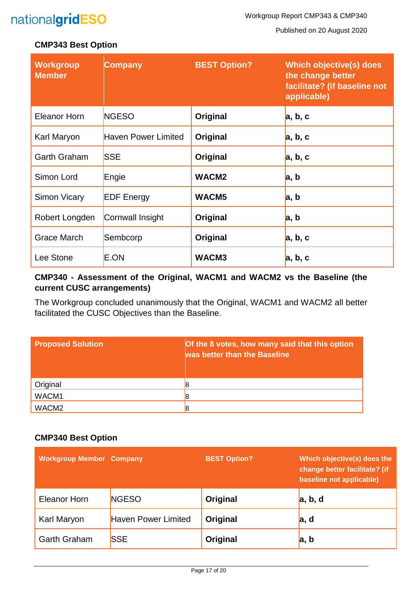Published on 20 August 2020

#### **CMP343 Best Option**

| <b>Workgroup</b><br><b>Member</b> | <b>Company</b>      | <b>BEST Option?</b> | <b>Which objective(s) does</b><br>the change better<br>facilitate? (if baseline not<br>applicable) |
|-----------------------------------|---------------------|---------------------|----------------------------------------------------------------------------------------------------|
| <b>Eleanor Horn</b>               | <b>NGESO</b>        | Original            | a, b, c                                                                                            |
| Karl Maryon                       | Haven Power Limited | Original            | a, b, c                                                                                            |
| <b>Garth Graham</b>               | <b>SSE</b>          | Original            | a, b, c                                                                                            |
| Simon Lord                        | Engie               | WACM <sub>2</sub>   | a, b                                                                                               |
| Simon Vicary                      | <b>EDF</b> Energy   | WACM <sub>5</sub>   | a, b                                                                                               |
| Robert Longden                    | Cornwall Insight    | Original            | a, b                                                                                               |
| <b>Grace March</b>                | Sembcorp            | Original            | a, b, c                                                                                            |
| Lee Stone                         | E.ON                | WACM3               | a, b, c                                                                                            |

#### **CMP340 - Assessment of the Original, WACM1 and WACM2 vs the Baseline (the current CUSC arrangements)**

The Workgroup concluded unanimously that the Original, WACM1 and WACM2 all better facilitated the CUSC Objectives than the Baseline.

| <b>Proposed Solution</b> | Of the 8 votes, how many said that this option<br>was better than the Baseline |
|--------------------------|--------------------------------------------------------------------------------|
| Original                 |                                                                                |
| WACM1                    |                                                                                |
| WACM <sub>2</sub>        |                                                                                |

#### **CMP340 Best Option**

| <b>Workgroup Member Company</b> |                            | <b>BEST Option?</b> | Which objective(s) does the<br>change better facilitate? (if<br>baseline not applicable) |
|---------------------------------|----------------------------|---------------------|------------------------------------------------------------------------------------------|
| Eleanor Horn                    | <b>NGESO</b>               | Original            | a, b, d                                                                                  |
| Karl Maryon                     | <b>Haven Power Limited</b> | Original            | a, d                                                                                     |
| <b>Garth Graham</b>             | <b>SSE</b>                 | Original            | a, b                                                                                     |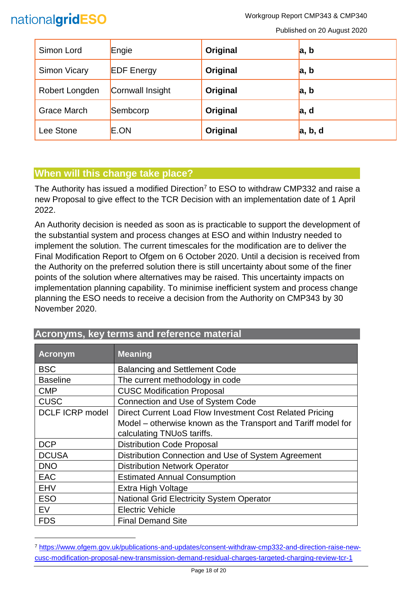

l

Workgroup Report CMP343 & CMP340

Published on 20 August 2020

| Simon Lord          | Engie             | Original | a, b    |
|---------------------|-------------------|----------|---------|
| <b>Simon Vicary</b> | <b>EDF Energy</b> | Original | a, b    |
| Robert Longden      | Cornwall Insight  | Original | a, b    |
| <b>Grace March</b>  | Sembcorp          | Original | a, d    |
| Lee Stone           | E.ON              | Original | a, b, d |

### **When will this change take place?**

The Authority has issued a modified Direction<sup>7</sup> to ESO to withdraw CMP332 and raise a new Proposal to give effect to the TCR Decision with an implementation date of 1 April 2022.

An Authority decision is needed as soon as is practicable to support the development of the substantial system and process changes at ESO and within Industry needed to implement the solution. The current timescales for the modification are to deliver the Final Modification Report to Ofgem on 6 October 2020. Until a decision is received from the Authority on the preferred solution there is still uncertainty about some of the finer points of the solution where alternatives may be raised. This uncertainty impacts on implementation planning capability. To minimise inefficient system and process change planning the ESO needs to receive a decision from the Authority on CMP343 by 30 November 2020.

| <b>Acronym</b>         | <b>Meaning</b>                                                |
|------------------------|---------------------------------------------------------------|
| <b>BSC</b>             | <b>Balancing and Settlement Code</b>                          |
| <b>Baseline</b>        | The current methodology in code                               |
| <b>CMP</b>             | <b>CUSC Modification Proposal</b>                             |
| <b>CUSC</b>            | Connection and Use of System Code                             |
| <b>DCLF ICRP model</b> | Direct Current Load Flow Investment Cost Related Pricing      |
|                        | Model – otherwise known as the Transport and Tariff model for |
|                        | calculating TNUoS tariffs.                                    |
| <b>DCP</b>             | <b>Distribution Code Proposal</b>                             |
| <b>DCUSA</b>           | Distribution Connection and Use of System Agreement           |
| <b>DNO</b>             | <b>Distribution Network Operator</b>                          |
| <b>EAC</b>             | <b>Estimated Annual Consumption</b>                           |
| <b>EHV</b>             | Extra High Voltage                                            |
| <b>ESO</b>             | <b>National Grid Electricity System Operator</b>              |
| EV                     | <b>Electric Vehicle</b>                                       |
| <b>FDS</b>             | <b>Final Demand Site</b>                                      |

## **Acronyms, key terms and reference material**

<sup>7</sup> [https://www.ofgem.gov.uk/publications-and-updates/consent-withdraw-cmp332-and-direction-raise-new](https://www.ofgem.gov.uk/publications-and-updates/consent-withdraw-cmp332-and-direction-raise-new-cusc-modification-proposal-new-transmission-demand-residual-charges-targeted-charging-review-tcr-1)[cusc-modification-proposal-new-transmission-demand-residual-charges-targeted-charging-review-tcr-1](https://www.ofgem.gov.uk/publications-and-updates/consent-withdraw-cmp332-and-direction-raise-new-cusc-modification-proposal-new-transmission-demand-residual-charges-targeted-charging-review-tcr-1)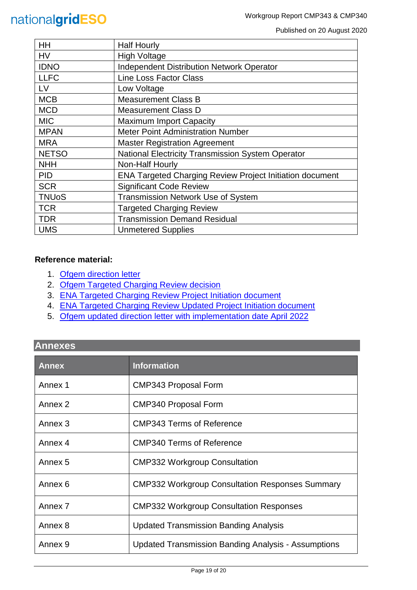Published on 20 August 2020

| HH           | <b>Half Hourly</b>                                              |
|--------------|-----------------------------------------------------------------|
| <b>HV</b>    | <b>High Voltage</b>                                             |
| <b>IDNO</b>  | <b>Independent Distribution Network Operator</b>                |
| <b>LLFC</b>  | <b>Line Loss Factor Class</b>                                   |
| <b>LV</b>    | Low Voltage                                                     |
| <b>MCB</b>   | <b>Measurement Class B</b>                                      |
| <b>MCD</b>   | <b>Measurement Class D</b>                                      |
| <b>MIC</b>   | <b>Maximum Import Capacity</b>                                  |
| <b>MPAN</b>  | <b>Meter Point Administration Number</b>                        |
| <b>MRA</b>   | <b>Master Registration Agreement</b>                            |
| <b>NETSO</b> | <b>National Electricity Transmission System Operator</b>        |
| <b>NHH</b>   | Non-Half Hourly                                                 |
| <b>PID</b>   | <b>ENA Targeted Charging Review Project Initiation document</b> |
| <b>SCR</b>   | <b>Significant Code Review</b>                                  |
| <b>TNUoS</b> | Transmission Network Use of System                              |
| <b>TCR</b>   | <b>Targeted Charging Review</b>                                 |
| <b>TDR</b>   | <b>Transmission Demand Residual</b>                             |
| <b>UMS</b>   | <b>Unmetered Supplies</b>                                       |

#### **Reference material:**

- 1. [Ofgem direction letter](https://www.ofgem.gov.uk/system/files/docs/2019/11/cusc_direction_1.pdf)
- 2. [Ofgem Targeted Charging Review decision](https://www.ofgem.gov.uk/system/files/docs/2019/12/full_decision_doc_updated.pdf)
- 3. [ENA Targeted Charging Review Project Initiation document](https://urldefense.com/v3/__http:/www.chargingfutures.com/media/1390/tcr-joint-eso-dno-pid-v10.pdf__;!70_KdN2uTJA!iTCC0uKa-KGiJ-mbkt9wKAdUd4VEQgNAnFADH7gkPuWIOXPyWFJ25WItQW-c8yUgXR06uw$)
- 4. [ENA Targeted Charging Review Updated Project Initiation document](http://www.chargingfutures.com/media/1444/tcr-joint-eso-dno-pid-update-v11.pdf)
- 5. Ofgem updated direction letter [with implementation date April 2022](https://www.ofgem.gov.uk/publications-and-updates/consent-withdraw-cmp332-and-direction-raise-new-cusc-modification-proposal-new-transmission-demand-residual-charges-targeted-charging-review-tcr-1)

## **Annexes**

| <b>Annex</b> | <b>Information</b>                                         |
|--------------|------------------------------------------------------------|
| Annex 1      | <b>CMP343 Proposal Form</b>                                |
| Annex 2      | <b>CMP340 Proposal Form</b>                                |
| Annex 3      | <b>CMP343 Terms of Reference</b>                           |
| Annex 4      | <b>CMP340 Terms of Reference</b>                           |
| Annex 5      | <b>CMP332 Workgroup Consultation</b>                       |
| Annex 6      | <b>CMP332 Workgroup Consultation Responses Summary</b>     |
| Annex 7      | <b>CMP332 Workgroup Consultation Responses</b>             |
| Annex 8      | <b>Updated Transmission Banding Analysis</b>               |
| Annex 9      | <b>Updated Transmission Banding Analysis - Assumptions</b> |